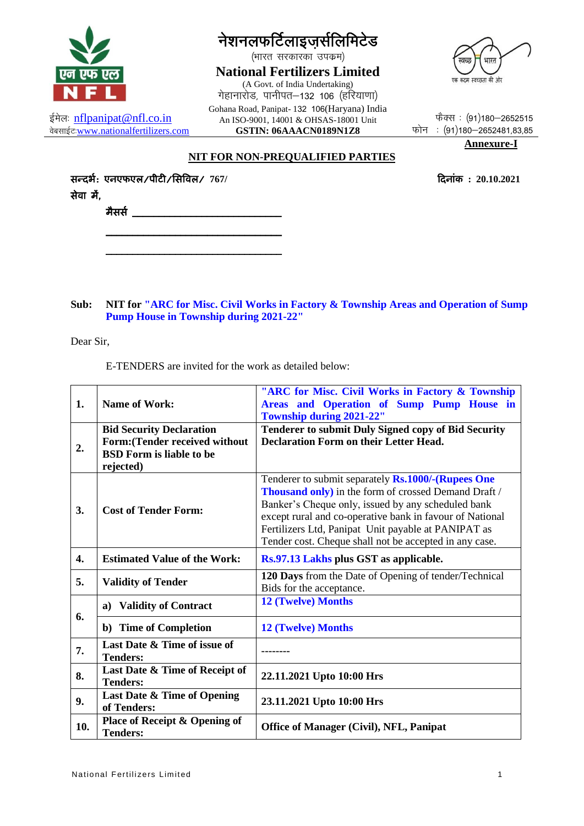

ईमेलः nflpanipat@nfl.co.in

वेबसाईट www.nationalfertilizers.com

नेशनलफर्टिलाइजर्सलिमिटेड

(भारत सरकारका उपक्रम)

**National Fertilizers Limited** (A Govt. of India Undertaking) गेहानारोड, पानीपत-132 106 (हरियाणा) Gohana Road, Panipat-132 106(Haryana) India An ISO-9001, 14001 & OHSAS-18001 Unit GSTIN: 06AAACN0189N1Z8



फैक्स: (91)180-2652515 फोन: (91)180-2652481,83,85

दिनांक:  $20.10.2021$ 

Annexure-I

 $\mathbf{1}$ 

NIT FOR NON-PREQUALIFIED PARTIES

सन्दर्भः एनएफएल∕पीटी∕सिविल∕ 767/ सेवा में.

<u>मैसर्स कार्यालय कार्यालय कार्यालय कार्य</u>

### NIT for "ARC for Misc. Civil Works in Factory & Township Areas and Operation of Sump Sub: **Pump House in Township during 2021-22"**

Dear Sir.

E-TENDERS are invited for the work as detailed below:

| 1.               | <b>Name of Work:</b>                             | "ARC for Misc. Civil Works in Factory & Township<br>Areas and Operation of Sump Pump House in<br><b>Township during 2021-22"</b> |
|------------------|--------------------------------------------------|----------------------------------------------------------------------------------------------------------------------------------|
|                  | <b>Bid Security Declaration</b>                  | <b>Tenderer to submit Duly Signed copy of Bid Security</b>                                                                       |
| 2.               | <b>Form:</b> (Tender received without            | <b>Declaration Form on their Letter Head.</b>                                                                                    |
|                  | <b>BSD Form is liable to be</b>                  |                                                                                                                                  |
|                  | rejected)                                        |                                                                                                                                  |
| 3.               | <b>Cost of Tender Form:</b>                      | Tenderer to submit separately Rs.1000/-(Rupees One                                                                               |
|                  |                                                  | <b>Thousand only)</b> in the form of crossed Demand Draft /                                                                      |
|                  |                                                  | Banker's Cheque only, issued by any scheduled bank                                                                               |
|                  |                                                  | except rural and co-operative bank in favour of National                                                                         |
|                  |                                                  | Fertilizers Ltd, Panipat Unit payable at PANIPAT as                                                                              |
|                  |                                                  | Tender cost. Cheque shall not be accepted in any case.                                                                           |
| $\overline{4}$ . | <b>Estimated Value of the Work:</b>              | Rs.97.13 Lakhs plus GST as applicable.                                                                                           |
| 5.               | <b>Validity of Tender</b>                        | 120 Days from the Date of Opening of tender/Technical                                                                            |
|                  |                                                  | Bids for the acceptance.                                                                                                         |
| 6.               | <b>Validity of Contract</b><br>a)                | <b>12 (Twelve) Months</b>                                                                                                        |
|                  | b) Time of Completion                            | <b>12 (Twelve) Months</b>                                                                                                        |
| 7.               | Last Date & Time of issue of                     |                                                                                                                                  |
|                  | <b>Tenders:</b>                                  |                                                                                                                                  |
| 8.               | Last Date & Time of Receipt of                   | 22.11.2021 Upto 10:00 Hrs                                                                                                        |
|                  | <b>Tenders:</b>                                  |                                                                                                                                  |
| 9.               | Last Date & Time of Opening<br>of Tenders:       | 23.11.2021 Upto 10:00 Hrs                                                                                                        |
| 10.              | Place of Receipt & Opening of<br><b>Tenders:</b> | Office of Manager (Civil), NFL, Panipat                                                                                          |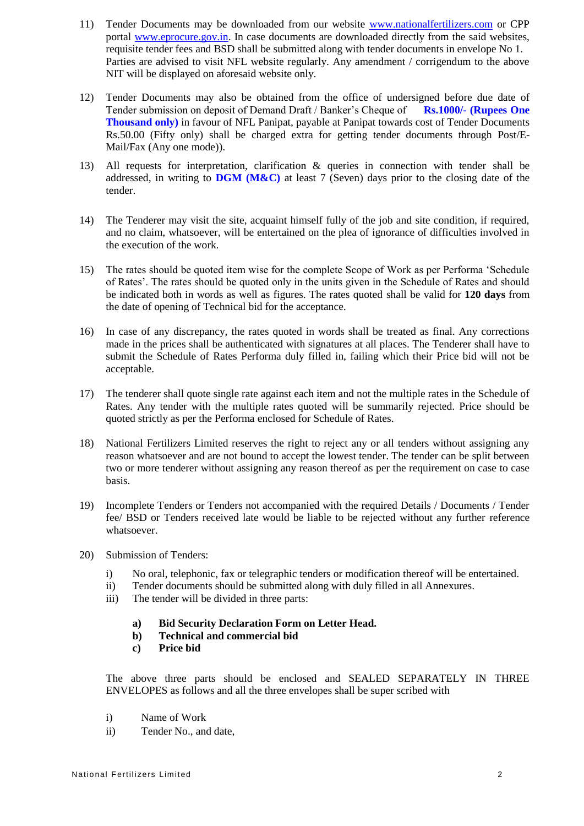- 11) Tender Documents may be downloaded from our website [www.nationalfertilizers.com](http://www.nationalfertilizers.com/) or CPP portal [www.eprocure.gov.in.](http://www.eprocure.gov.in/) In case documents are downloaded directly from the said websites, requisite tender fees and BSD shall be submitted along with tender documents in envelope No 1. Parties are advised to visit NFL website regularly. Any amendment / corrigendum to the above NIT will be displayed on aforesaid website only.
- 12) Tender Documents may also be obtained from the office of undersigned before due date of Tender submission on deposit of Demand Draft / Banker's Cheque of **Rs.1000/- (Rupees One Thousand only)** in favour of NFL Panipat, payable at Panipat towards cost of Tender Documents Rs.50.00 (Fifty only) shall be charged extra for getting tender documents through Post/E-Mail/Fax (Any one mode)).
- 13) All requests for interpretation, clarification & queries in connection with tender shall be addressed, in writing to **DGM (M&C)** at least 7 (Seven) days prior to the closing date of the tender.
- 14) The Tenderer may visit the site, acquaint himself fully of the job and site condition, if required, and no claim, whatsoever, will be entertained on the plea of ignorance of difficulties involved in the execution of the work.
- 15) The rates should be quoted item wise for the complete Scope of Work as per Performa 'Schedule of Rates'. The rates should be quoted only in the units given in the Schedule of Rates and should be indicated both in words as well as figures. The rates quoted shall be valid for **120 days** from the date of opening of Technical bid for the acceptance.
- 16) In case of any discrepancy, the rates quoted in words shall be treated as final. Any corrections made in the prices shall be authenticated with signatures at all places. The Tenderer shall have to submit the Schedule of Rates Performa duly filled in, failing which their Price bid will not be acceptable.
- 17) The tenderer shall quote single rate against each item and not the multiple rates in the Schedule of Rates. Any tender with the multiple rates quoted will be summarily rejected. Price should be quoted strictly as per the Performa enclosed for Schedule of Rates.
- 18) National Fertilizers Limited reserves the right to reject any or all tenders without assigning any reason whatsoever and are not bound to accept the lowest tender. The tender can be split between two or more tenderer without assigning any reason thereof as per the requirement on case to case basis.
- 19) Incomplete Tenders or Tenders not accompanied with the required Details / Documents / Tender fee/ BSD or Tenders received late would be liable to be rejected without any further reference whatsoever.
- 20) Submission of Tenders:
	- i) No oral, telephonic, fax or telegraphic tenders or modification thereof will be entertained.
	- ii) Tender documents should be submitted along with duly filled in all Annexures.
	- iii) The tender will be divided in three parts:
		- **a) Bid Security Declaration Form on Letter Head.**
		- **b) Technical and commercial bid**
		- **c) Price bid**

The above three parts should be enclosed and SEALED SEPARATELY IN THREE ENVELOPES as follows and all the three envelopes shall be super scribed with

- i) Name of Work
- ii) Tender No., and date,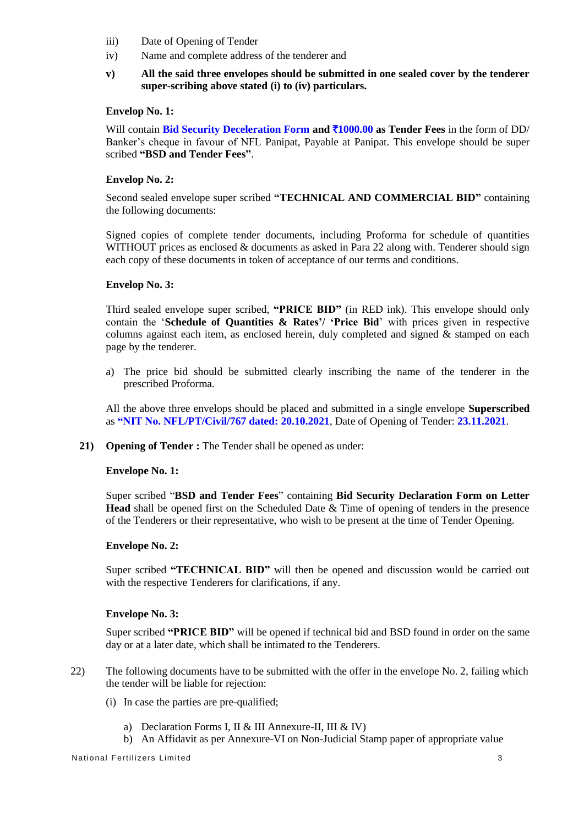- iii) Date of Opening of Tender
- iv) Name and complete address of the tenderer and
- **v) All the said three envelopes should be submitted in one sealed cover by the tenderer super-scribing above stated (i) to (iv) particulars.**

## **Envelop No. 1:**

Will contain **Bid Security Deceleration Form and** `**1000.00 as Tender Fees** in the form of DD/ Banker's cheque in favour of NFL Panipat, Payable at Panipat. This envelope should be super scribed **"BSD and Tender Fees"**.

# **Envelop No. 2:**

Second sealed envelope super scribed **"TECHNICAL AND COMMERCIAL BID"** containing the following documents:

Signed copies of complete tender documents, including Proforma for schedule of quantities WITHOUT prices as enclosed & documents as asked in Para 22 along with. Tenderer should sign each copy of these documents in token of acceptance of our terms and conditions.

## **Envelop No. 3:**

Third sealed envelope super scribed, **"PRICE BID"** (in RED ink). This envelope should only contain the '**Schedule of Quantities & Rates'/ 'Price Bid**' with prices given in respective columns against each item, as enclosed herein, duly completed and signed & stamped on each page by the tenderer.

a) The price bid should be submitted clearly inscribing the name of the tenderer in the prescribed Proforma.

All the above three envelops should be placed and submitted in a single envelope **Superscribed** as **"NIT No. NFL/PT/Civil/767 dated: 20.10.2021**, Date of Opening of Tender: **23.11.2021**.

**21) Opening of Tender :** The Tender shall be opened as under:

## **Envelope No. 1:**

Super scribed "**BSD and Tender Fees**" containing **Bid Security Declaration Form on Letter Head** shall be opened first on the Scheduled Date & Time of opening of tenders in the presence of the Tenderers or their representative, who wish to be present at the time of Tender Opening.

## **Envelope No. 2:**

Super scribed **"TECHNICAL BID"** will then be opened and discussion would be carried out with the respective Tenderers for clarifications, if any.

## **Envelope No. 3:**

Super scribed **"PRICE BID"** will be opened if technical bid and BSD found in order on the same day or at a later date, which shall be intimated to the Tenderers.

- 22) The following documents have to be submitted with the offer in the envelope No. 2, failing which the tender will be liable for rejection:
	- (i) In case the parties are pre-qualified;
		- a) Declaration Forms I, II & III Annexure-II, III & IV)
		- b) An Affidavit as per Annexure-VI on Non-Judicial Stamp paper of appropriate value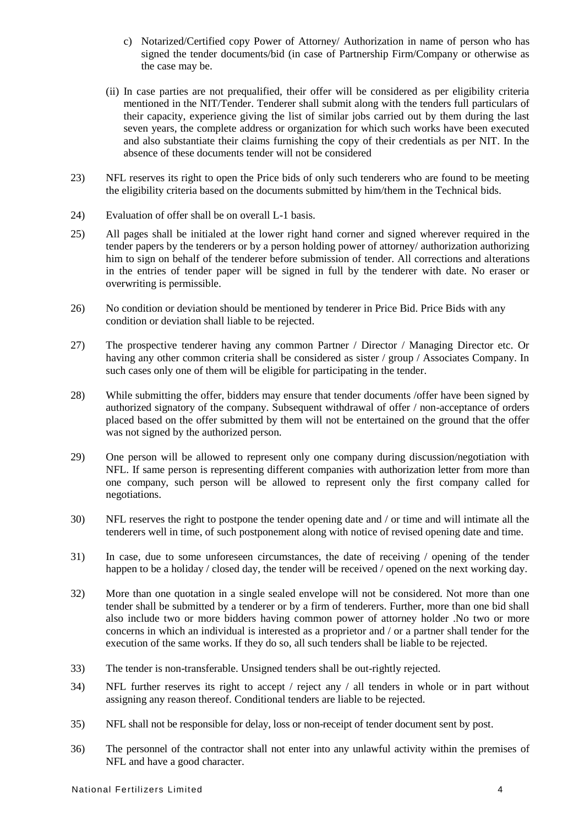- c) Notarized/Certified copy Power of Attorney/ Authorization in name of person who has signed the tender documents/bid (in case of Partnership Firm/Company or otherwise as the case may be.
- (ii) In case parties are not prequalified, their offer will be considered as per eligibility criteria mentioned in the NIT/Tender. Tenderer shall submit along with the tenders full particulars of their capacity, experience giving the list of similar jobs carried out by them during the last seven years, the complete address or organization for which such works have been executed and also substantiate their claims furnishing the copy of their credentials as per NIT. In the absence of these documents tender will not be considered
- 23) NFL reserves its right to open the Price bids of only such tenderers who are found to be meeting the eligibility criteria based on the documents submitted by him/them in the Technical bids.
- 24) Evaluation of offer shall be on overall L-1 basis.
- 25) All pages shall be initialed at the lower right hand corner and signed wherever required in the tender papers by the tenderers or by a person holding power of attorney/ authorization authorizing him to sign on behalf of the tenderer before submission of tender. All corrections and alterations in the entries of tender paper will be signed in full by the tenderer with date. No eraser or overwriting is permissible.
- 26) No condition or deviation should be mentioned by tenderer in Price Bid. Price Bids with any condition or deviation shall liable to be rejected.
- 27) The prospective tenderer having any common Partner / Director / Managing Director etc. Or having any other common criteria shall be considered as sister / group / Associates Company. In such cases only one of them will be eligible for participating in the tender.
- 28) While submitting the offer, bidders may ensure that tender documents /offer have been signed by authorized signatory of the company. Subsequent withdrawal of offer / non-acceptance of orders placed based on the offer submitted by them will not be entertained on the ground that the offer was not signed by the authorized person.
- 29) One person will be allowed to represent only one company during discussion/negotiation with NFL. If same person is representing different companies with authorization letter from more than one company, such person will be allowed to represent only the first company called for negotiations.
- 30) NFL reserves the right to postpone the tender opening date and / or time and will intimate all the tenderers well in time, of such postponement along with notice of revised opening date and time.
- 31) In case, due to some unforeseen circumstances, the date of receiving / opening of the tender happen to be a holiday / closed day, the tender will be received / opened on the next working day.
- 32) More than one quotation in a single sealed envelope will not be considered. Not more than one tender shall be submitted by a tenderer or by a firm of tenderers. Further, more than one bid shall also include two or more bidders having common power of attorney holder .No two or more concerns in which an individual is interested as a proprietor and / or a partner shall tender for the execution of the same works. If they do so, all such tenders shall be liable to be rejected.
- 33) The tender is non-transferable. Unsigned tenders shall be out-rightly rejected.
- 34) NFL further reserves its right to accept / reject any / all tenders in whole or in part without assigning any reason thereof. Conditional tenders are liable to be rejected.
- 35) NFL shall not be responsible for delay, loss or non-receipt of tender document sent by post.
- 36) The personnel of the contractor shall not enter into any unlawful activity within the premises of NFL and have a good character.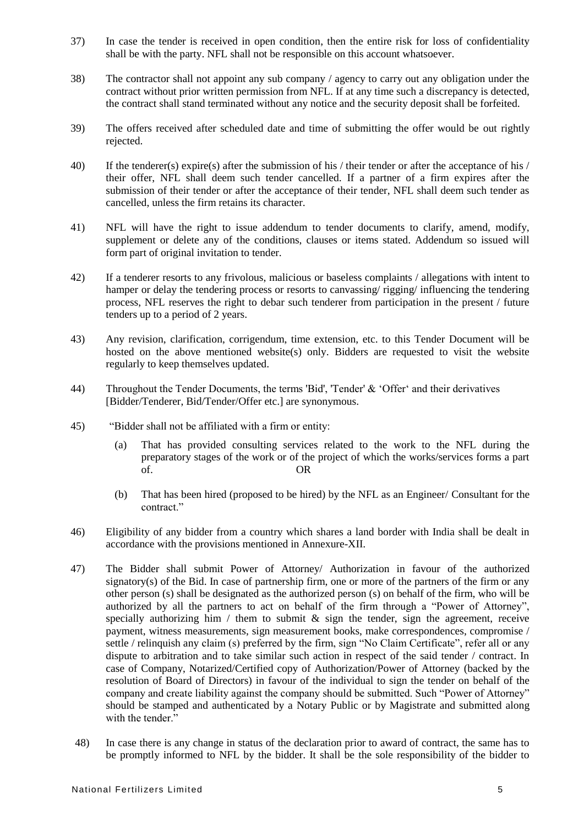- 37) In case the tender is received in open condition, then the entire risk for loss of confidentiality shall be with the party. NFL shall not be responsible on this account whatsoever.
- 38) The contractor shall not appoint any sub company / agency to carry out any obligation under the contract without prior written permission from NFL. If at any time such a discrepancy is detected, the contract shall stand terminated without any notice and the security deposit shall be forfeited.
- 39) The offers received after scheduled date and time of submitting the offer would be out rightly rejected.
- 40) If the tenderer(s) expire(s) after the submission of his / their tender or after the acceptance of his / their offer, NFL shall deem such tender cancelled. If a partner of a firm expires after the submission of their tender or after the acceptance of their tender, NFL shall deem such tender as cancelled, unless the firm retains its character.
- 41) NFL will have the right to issue addendum to tender documents to clarify, amend, modify, supplement or delete any of the conditions, clauses or items stated. Addendum so issued will form part of original invitation to tender.
- 42) If a tenderer resorts to any frivolous, malicious or baseless complaints / allegations with intent to hamper or delay the tendering process or resorts to canvassing/ rigging/ influencing the tendering process, NFL reserves the right to debar such tenderer from participation in the present / future tenders up to a period of 2 years.
- 43) Any revision, clarification, corrigendum, time extension, etc. to this Tender Document will be hosted on the above mentioned website(s) only. Bidders are requested to visit the website regularly to keep themselves updated.
- 44) Throughout the Tender Documents, the terms 'Bid', 'Tender' & 'Offer' and their derivatives [Bidder/Tenderer, Bid/Tender/Offer etc.] are synonymous.
- 45) "Bidder shall not be affiliated with a firm or entity:
	- (a) That has provided consulting services related to the work to the NFL during the preparatory stages of the work or of the project of which the works/services forms a part of. OR
	- (b) That has been hired (proposed to be hired) by the NFL as an Engineer/ Consultant for the contract."
- 46) Eligibility of any bidder from a country which shares a land border with India shall be dealt in accordance with the provisions mentioned in Annexure-XII.
- 47) The Bidder shall submit Power of Attorney/ Authorization in favour of the authorized signatory(s) of the Bid. In case of partnership firm, one or more of the partners of the firm or any other person (s) shall be designated as the authorized person (s) on behalf of the firm, who will be authorized by all the partners to act on behalf of the firm through a "Power of Attorney", specially authorizing him / them to submit  $\&$  sign the tender, sign the agreement, receive payment, witness measurements, sign measurement books, make correspondences, compromise / settle / relinquish any claim (s) preferred by the firm, sign "No Claim Certificate", refer all or any dispute to arbitration and to take similar such action in respect of the said tender / contract. In case of Company, Notarized/Certified copy of Authorization/Power of Attorney (backed by the resolution of Board of Directors) in favour of the individual to sign the tender on behalf of the company and create liability against the company should be submitted. Such "Power of Attorney" should be stamped and authenticated by a Notary Public or by Magistrate and submitted along with the tender."
- 48) In case there is any change in status of the declaration prior to award of contract, the same has to be promptly informed to NFL by the bidder. It shall be the sole responsibility of the bidder to